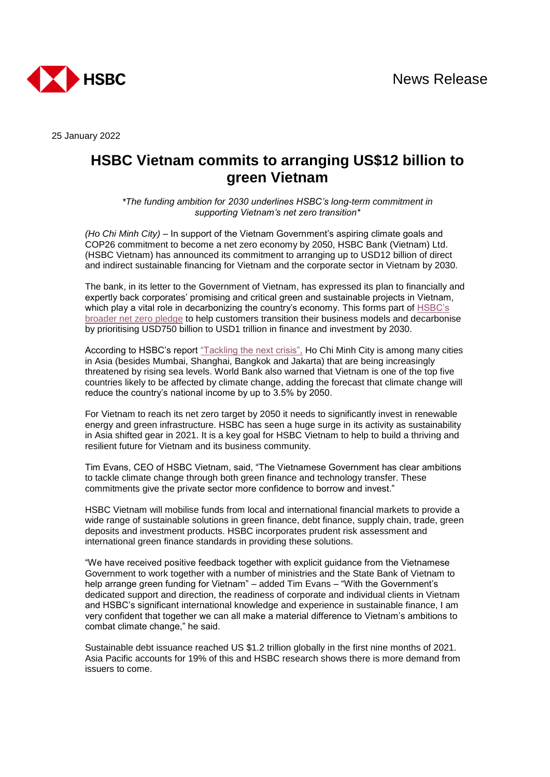

25 January 2022

## **HSBC Vietnam commits to arranging US\$12 billion to green Vietnam**

*\*The funding ambition for 2030 underlines HSBC's long-term commitment in supporting Vietnam's net zero transition\**

*(Ho Chi Minh City)* – In support of the Vietnam Government's aspiring climate goals and COP26 commitment to become a net zero economy by 2050, HSBC Bank (Vietnam) Ltd. (HSBC Vietnam) has announced its commitment to arranging up to USD12 billion of direct and indirect sustainable financing for Vietnam and the corporate sector in Vietnam by 2030.

The bank, in its letter to the Government of Vietnam, has expressed its plan to financially and expertly back corporates' promising and critical green and sustainable projects in Vietnam, which play a vital role in decarbonizing the country's economy. This forms part of [HSBC's](https://www.hsbc.com/news-and-media/media-releases/2020/hsbc-sets-out-ambition-to-build-a-net-zero-economy)  [broader net zero pledge](https://www.hsbc.com/news-and-media/media-releases/2020/hsbc-sets-out-ambition-to-build-a-net-zero-economy) to help customers transition their business models and decarbonise by prioritising USD750 billion to USD1 trillion in finance and investment by 2030.

According to HSBC's report ["Tackling the next crisis",](https://www.research.hsbc.com/C/1/1/320/MKDChWx) Ho Chi Minh City is among many cities in Asia (besides Mumbai, Shanghai, Bangkok and Jakarta) that are being increasingly threatened by rising sea levels. World Bank also warned that Vietnam is one of the top five countries likely to be affected by climate change, adding the forecast that climate change will reduce the country's national income by up to 3.5% by 2050.

For Vietnam to reach its net zero target by 2050 it needs to significantly invest in renewable energy and green infrastructure. HSBC has seen a huge surge in its activity as sustainability in Asia shifted gear in 2021. It is a key goal for HSBC Vietnam to help to build a thriving and resilient future for Vietnam and its business community.

Tim Evans, CEO of HSBC Vietnam, said, "The Vietnamese Government has clear ambitions to tackle climate change through both green finance and technology transfer. These commitments give the private sector more confidence to borrow and invest."

HSBC Vietnam will mobilise funds from local and international financial markets to provide a wide range of sustainable solutions in green finance, debt finance, supply chain, trade, green deposits and investment products. HSBC incorporates prudent risk assessment and international green finance standards in providing these solutions.

"We have received positive feedback together with explicit guidance from the Vietnamese Government to work together with a number of ministries and the State Bank of Vietnam to help arrange green funding for Vietnam" – added Tim Evans – "With the Government's dedicated support and direction, the readiness of corporate and individual clients in Vietnam and HSBC's significant international knowledge and experience in sustainable finance, I am very confident that together we can all make a material difference to Vietnam's ambitions to combat climate change," he said.

Sustainable debt issuance reached US \$1.2 trillion globally in the first nine months of 2021. Asia Pacific accounts for 19% of this and HSBC research shows there is more demand from issuers to come.